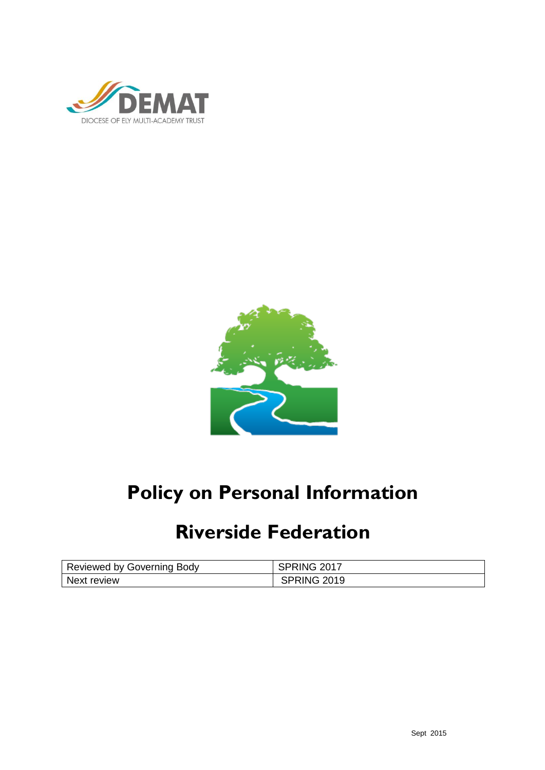



# **Policy on Personal Information**

## **Riverside Federation**

| Reviewed by Governing Body | -2017<br>'ING- |
|----------------------------|----------------|
| Next review                | PRING 2019     |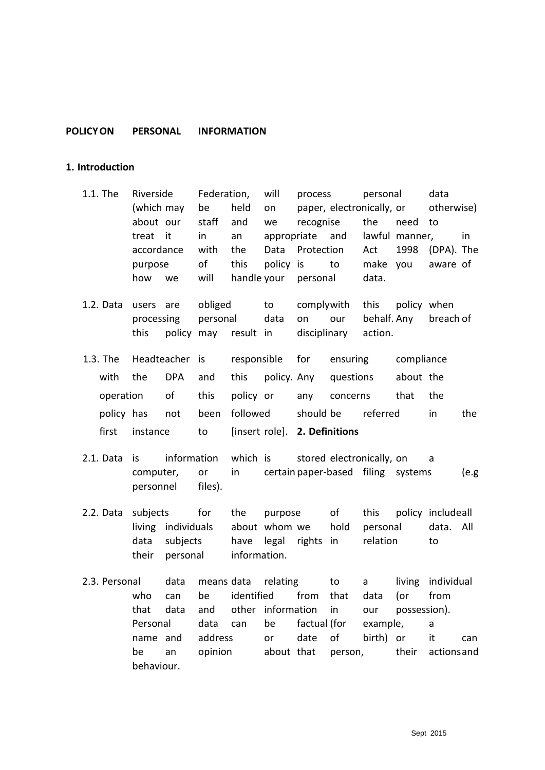## **POLICYON PERSONAL INFORMATION**

#### **1. Introduction**

- 1.1. The Riverside Federation, will process personal data (which may be held on paper, electronically, or otherwise) about our staff and we recognise the need to treat it in an appropriate and lawful manner, in accordance with the Data Protection Act 1998 (DPA). The purpose of this policy is to make you aware of how we will handle your personal data.
- 1.2. Data users are obliged to complywith this policy when processing personal data on our behalf. Any breach of this policy may result in disciplinary action.
- 1.3. The Headteacher is responsible for ensuring compliance with the DPA and this policy. Any questions about the operation of this policy or any concerns that the policy has not been followed should be referred in the first instance to [insert role]. **2. Definitions**
- 2.1. Data is information which is stored electronically, on a computer, or in certain paper-based filing systems (e.g personnel files).
- 2.2. Data subjects for the purpose of this policy includeall living individuals about whom we hold personal data. All data subjects have legal rights in relation to their personal information.
- 2.3. Personal data means data relating to a living individual who can be identified from that data (or from that data and other information in our possession). Personal data can be factual (for example, a name and address or date of birth) or it can be an opinion about that person, their actionsand behaviour.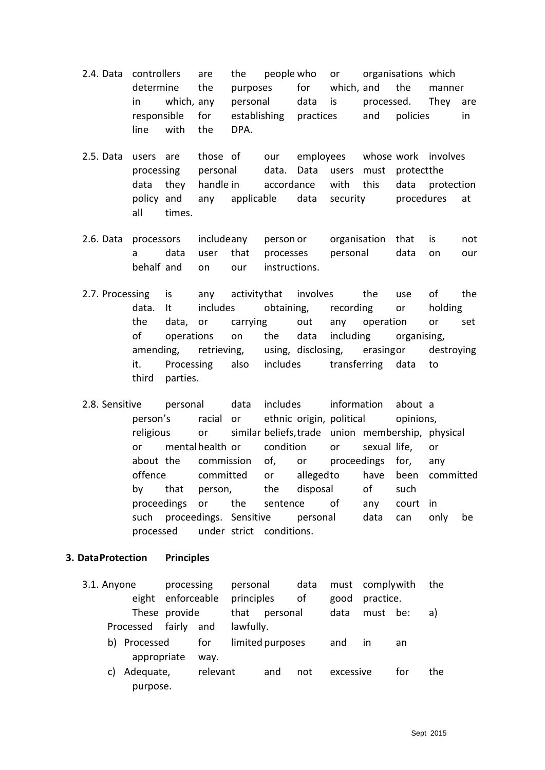- 2.4. Data controllers are the people who or organisations which determine the purposes for which, and the manner in which, any personal data is processed. They are responsible for establishing practices and policies in line with the DPA.
- 2.5. Data users are those of our employees whose work involves processing personal data. Data users must protectthe data they handle in accordance with this data protection policy and any applicable data security procedures at all times.
- 2.6. Data processors includeany person or organisation that is not a data user that processes personal data on our behalf and on our instructions.
- 2.7. Processing is any activitythat involves the use of the data. It includes obtaining, recording or holding the data, or carrying out any operation or set of operations on the data including organising, amending, retrieving, using, disclosing, erasingor destroying it. Processing also includes transferring data to third parties.
- 2.8. Sensitive personal data includes information about a person's racial or ethnic origin, political opinions, religious or similar beliefs,trade union membership, physical or mentalhealth or condition or sexual life, or about the commission of, or proceedings for, any offence committed or allegedto have been committed by that person, the disposal of such proceedings or the sentence of any court in such proceedings. Sensitive personal data can only be processed under strict conditions.

## **3. DataProtection Principles**

| 3.1. Anyone |    |              | processing    |          | personal   |                  | data |           | must complywith |     | the |
|-------------|----|--------------|---------------|----------|------------|------------------|------|-----------|-----------------|-----|-----|
|             |    | eight        | enforceable   |          | principles |                  | οf   | good      | practice.       |     |     |
|             |    |              | These provide |          | that       | personal         |      | data      | must be:        |     | a)  |
|             |    | Processed    | fairly        | and      | lawfully.  |                  |      |           |                 |     |     |
|             |    | b) Processed |               | for      |            | limited purposes |      | and       | in              | an. |     |
|             |    | appropriate  |               | way.     |            |                  |      |           |                 |     |     |
|             | C) | Adequate,    |               | relevant |            | and              | not  | excessive |                 | for | the |
|             |    | purpose.     |               |          |            |                  |      |           |                 |     |     |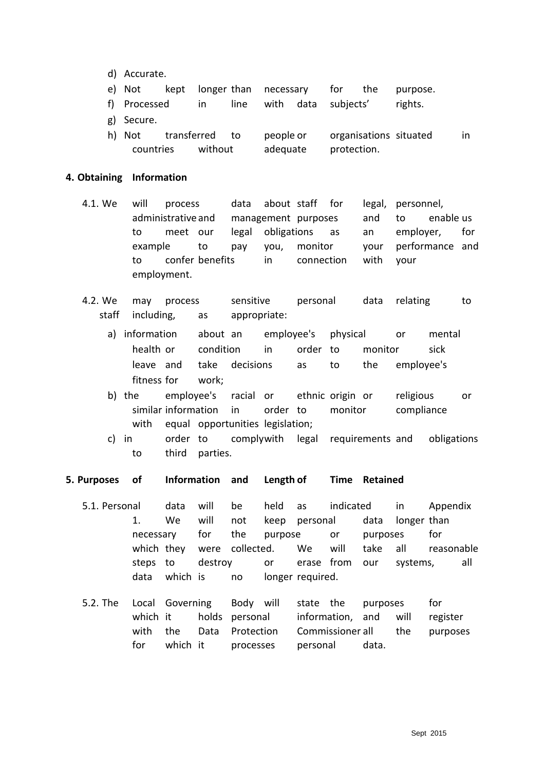- d) Accurate.
- e) Not kept longer than necessary for the purpose.
- f) Processed in line with data subjects' rights.
- g) Secure.
- h) Not transferred to people or organisations situated in countries without adequate protection.

## **4. Obtaining Information**

- 4.1. We will process data about staff for legal, personnel, administrative and management purposes and to enable us to meet our legal obligations as an employer, for example to pay you, monitor your performance and to confer benefits in connection with your employment.
- 4.2. We may process sensitive personal data relating to staff including, as appropriate:
	- a) information about an employee's physical or mental health or condition in order to monitor sick leave and take decisions as to the employee's fitness for work;
	- b) the employee's racial or ethnic origin or religious or similar information in order to monitor compliance with equal opportunities legislation;
	- c) in order to complywith legal requirements and obligations to third parties.

## **5. Purposes of Information and Length of Time Retained**

- 5.1. Personal data will be held as indicated in Appendix 1. We will not keep personal data longer than necessary for the purpose or purposes for which they were collected. We will take all reasonable steps to destroy or erase from our systems, all data which is no longer required.
- 5.2. The Local Governing Body will state the purposes for which it bolds personal information, and will register with the Data Protection Commissioner all the purposes for which it processes personal data.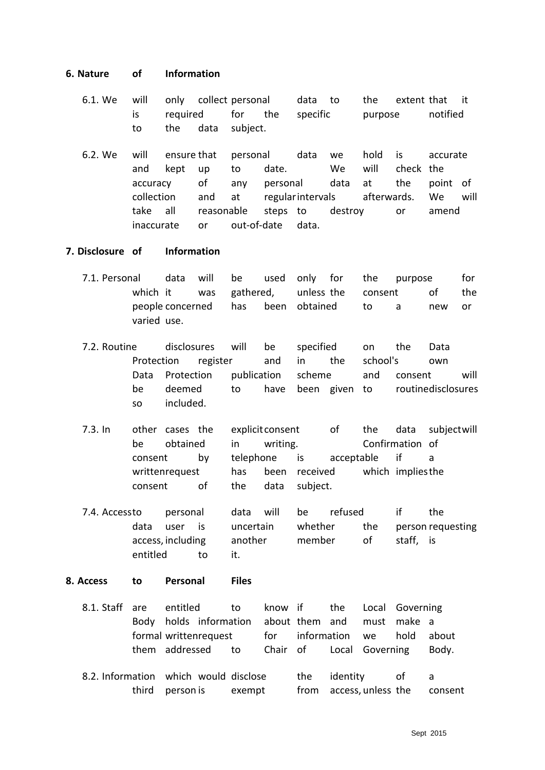## **6. Nature of Information**

- 6.1. We will only collect personal data to the extent that it is required for the specific purpose notified to the data subject.
- 6.2. We will ensure that personal data we hold is accurate and kept up to date. We will check the accuracy of any personal data at the point of collection and at regularintervals afterwards. We will take all reasonable steps to destroy or amend inaccurate or out-of-date data.

#### **7. Disclosure of Information**

- 7.1. Personal data will be used only for the purpose for which it was gathered, unless-the consent of the people concerned has been obtained to a new or varied use.
- 7.2. Routine disclosures will be specified on the Data Protection register and in the school's own Data Protection publication scheme and consent will be deemed to have been given to routinedisclosures so included.
- 7.3. In other cases the explicitconsent of the data subjectwill be obtained in writing. Confirmation of consent by telephone is acceptable if a writtenrequest has been received which impliesthe consent of the data subject.
- 7.4. Accessto personal data will be refused if the data user is uncertain whether the person requesting access, including another member of staff, is entitled to it.

#### **8. Access to Personal Files**

- 8.1. Staff are entitled to know if the Local Governing Body holds information about them and must make a formal writtenrequest to for information we hold about them addressed to Chair of Local Governing Body.
- 8.2. Information which would disclose the identity of a third person is exempt from access, unless the consent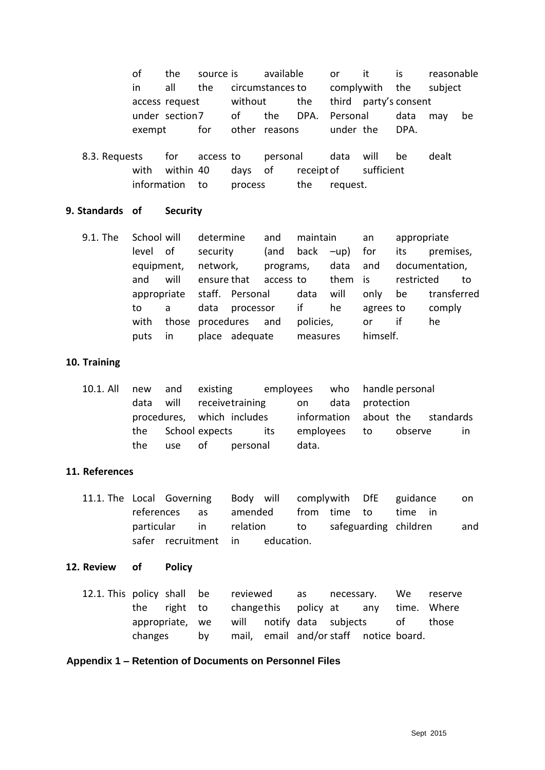of the source is available or it is reasonable in all the circumstances to complywith the subject access request without the third party's consent under section7 of the DPA. Personal data may be exempt for other reasons under the DPA.

8.3. Requests for access to personal data will be dealt with within 40 days of receipt of sufficient information to process the request.

## **9. Standards of Security**

9.1. The School will determine and maintain an appropriate level of security (and back –up) for its premises, equipment, network, programs, data and documentation, and will ensure that access to them is restricted to appropriate staff. Personal data will only be transferred to a data processor if he agrees to comply with those procedures and policies, or if he puts in place adequate measures himself.

## **10. Training**

10.1. All new and existing employees who handle personal data will receivetraining on data protection procedures, which includes information about the standards the School expects its employees to observe in the use of personal data.

## **11. References**

11.1. The Local Governing Body will complywith DfE guidance on references as amended from time to time in particular in relation to safeguarding children and safer recruitment in education.

## **12. Review of Policy**

|                                                    |  |      | 12.1. This policy shall be reviewed as necessary. We reserve |  |                                        |  |  |                                                   |
|----------------------------------------------------|--|------|--------------------------------------------------------------|--|----------------------------------------|--|--|---------------------------------------------------|
|                                                    |  |      |                                                              |  |                                        |  |  | the right to changethis policy at any time. Where |
| appropriate, we will notify data subjects of those |  |      |                                                              |  |                                        |  |  |                                                   |
| changes                                            |  | bv l |                                                              |  | mail, email and/or staff notice board. |  |  |                                                   |

## **Appendix 1 – Retention of Documents on Personnel Files**